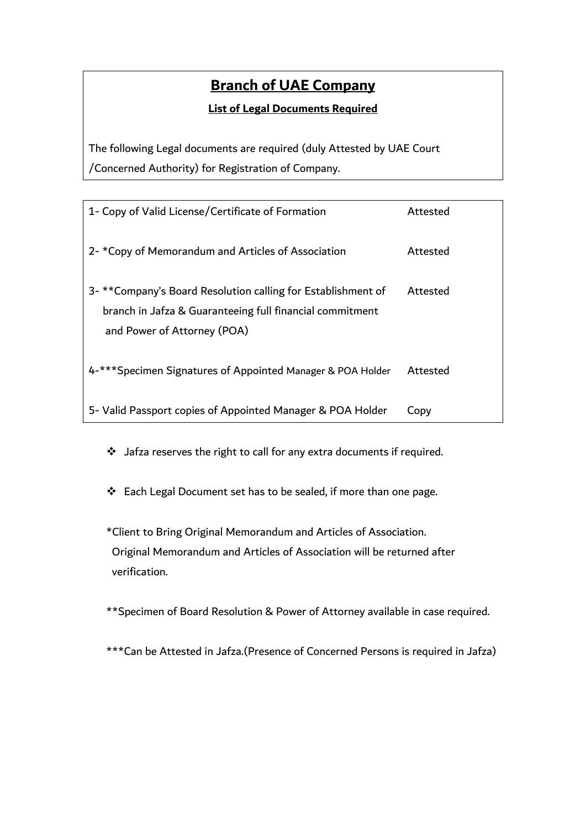# **Branch of UAE Company**

#### **List of Legal Documents Required**

The following Legal documents are required (duly Attested by UAE Court /Concerned Authority) for Registration of Company.

| 1- Copy of Valid License/Certificate of Formation                                                                                                       | Attested |
|---------------------------------------------------------------------------------------------------------------------------------------------------------|----------|
| 2- *Copy of Memorandum and Articles of Association                                                                                                      | Attested |
| 3- **Company's Board Resolution calling for Establishment of<br>branch in Jafza & Guaranteeing full financial commitment<br>and Power of Attorney (POA) | Attested |
| 4-*** Specimen Signatures of Appointed Manager & POA Holder                                                                                             | Attested |
| 5- Valid Passport copies of Appointed Manager & POA Holder                                                                                              | Copv     |

❖ Jafza reserves the right to call for any extra documents if required.

❖ Each Legal Document set has to be sealed, if more than one page.

\*Client to Bring Original Memorandum and Articles of Association. Original Memorandum and Articles of Association will be returned after verification.

\*\*Specimen of Board Resolution & Power of Attorney available in case required.

\*\*\*Can be Attested in Jafza.(Presence of Concerned Persons is required in Jafza)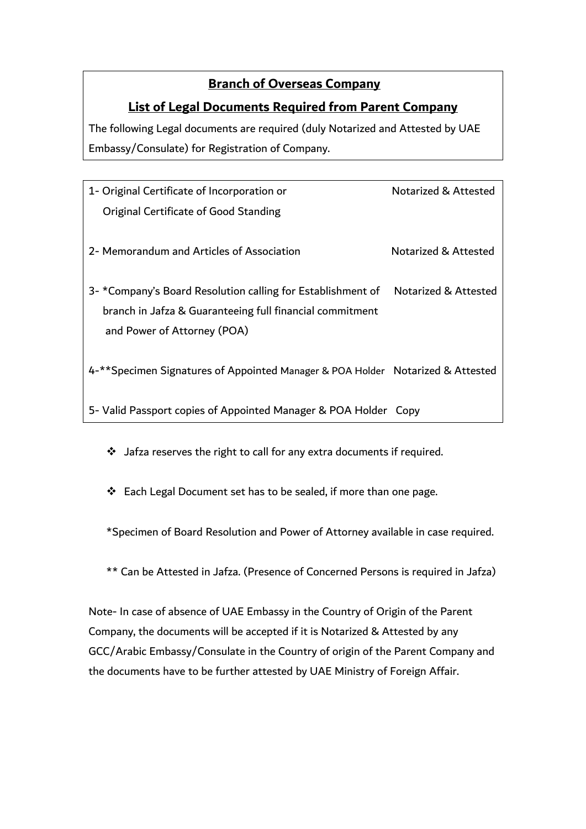### **Branch of Overseas Company**

#### **List of Legal Documents Required from Parent Company**

The following Legal documents are required (duly Notarized and Attested by UAE Embassy/Consulate) for Registration of Company.

| 1- Original Certificate of Incorporation or                                      | Notarized & Attested |
|----------------------------------------------------------------------------------|----------------------|
| Original Certificate of Good Standing                                            |                      |
|                                                                                  |                      |
| 2- Memorandum and Articles of Association                                        | Notarized & Attested |
|                                                                                  |                      |
| 3- *Company's Board Resolution calling for Establishment of Notarized & Attested |                      |
| branch in Jafza & Guaranteeing full financial commitment                         |                      |
| and Power of Attorney (POA)                                                      |                      |
|                                                                                  |                      |
| 4-**Specimen Signatures of Appointed Manager & POA Holder Notarized & Attested   |                      |
|                                                                                  |                      |
| 5- Valid Passport copies of Appointed Manager & POA Holder Copy                  |                      |

❖ Jafza reserves the right to call for any extra documents if required.

❖ Each Legal Document set has to be sealed, if more than one page.

\*Specimen of Board Resolution and Power of Attorney available in case required.

\*\* Can be Attested in Jafza. (Presence of Concerned Persons is required in Jafza)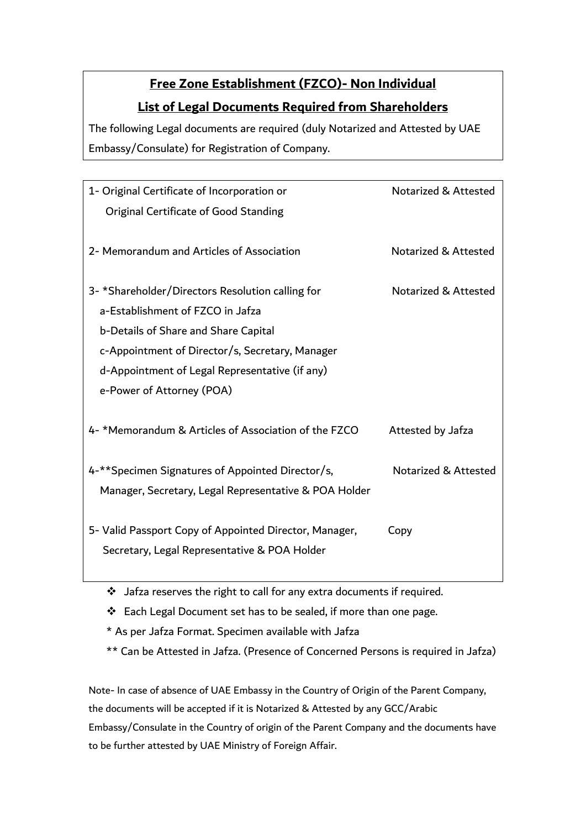# **Free Zone Establishment (FZCO)- Non Individual List of Legal Documents Required from Shareholders**

The following Legal documents are required (duly Notarized and Attested by UAE Embassy/Consulate) for Registration of Company.

| 1- Original Certificate of Incorporation or            | Notarized & Attested |
|--------------------------------------------------------|----------------------|
| Original Certificate of Good Standing                  |                      |
|                                                        |                      |
| 2- Memorandum and Articles of Association              | Notarized & Attested |
|                                                        |                      |
| 3- *Shareholder/Directors Resolution calling for       | Notarized & Attested |
| a-Establishment of FZCO in Jafza                       |                      |
| b-Details of Share and Share Capital                   |                      |
| c-Appointment of Director/s, Secretary, Manager        |                      |
| d-Appointment of Legal Representative (if any)         |                      |
| e-Power of Attorney (POA)                              |                      |
|                                                        |                      |
| 4- *Memorandum & Articles of Association of the FZCO   | Attested by Jafza    |
|                                                        |                      |
| 4-** Specimen Signatures of Appointed Director/s,      | Notarized & Attested |
| Manager, Secretary, Legal Representative & POA Holder  |                      |
|                                                        |                      |
| 5- Valid Passport Copy of Appointed Director, Manager, | Copy                 |
| Secretary, Legal Representative & POA Holder           |                      |
|                                                        |                      |
|                                                        |                      |

❖ Jafza reserves the right to call for any extra documents if required.

❖ Each Legal Document set has to be sealed, if more than one page.

\* As per Jafza Format. Specimen available with Jafza

\*\* Can be Attested in Jafza. (Presence of Concerned Persons is required in Jafza)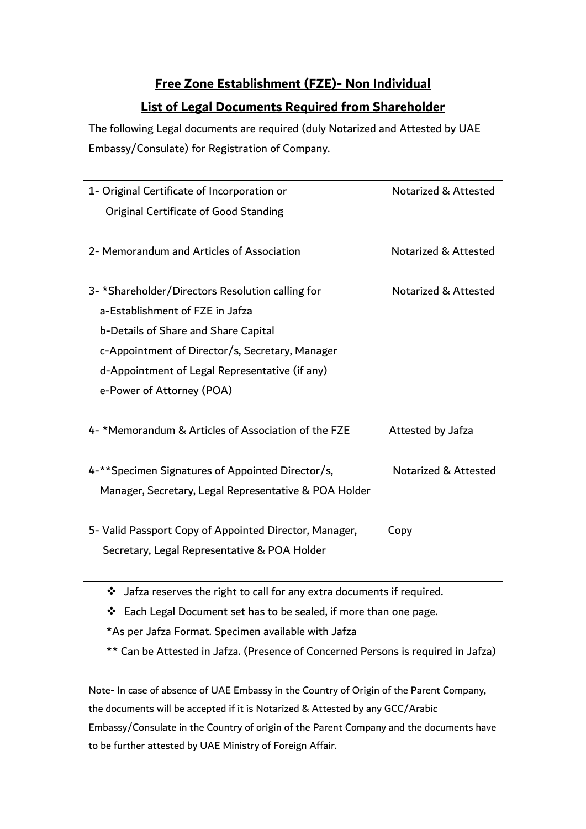## **Free Zone Establishment (FZE)- Non Individual**

### **List of Legal Documents Required from Shareholder**

The following Legal documents are required (duly Notarized and Attested by UAE Embassy/Consulate) for Registration of Company.

| 1- Original Certificate of Incorporation or            | Notarized & Attested |
|--------------------------------------------------------|----------------------|
| Original Certificate of Good Standing                  |                      |
|                                                        |                      |
| 2- Memorandum and Articles of Association              | Notarized & Attested |
|                                                        |                      |
| 3- *Shareholder/Directors Resolution calling for       | Notarized & Attested |
| a-Establishment of FZE in Jafza                        |                      |
| b-Details of Share and Share Capital                   |                      |
| c-Appointment of Director/s, Secretary, Manager        |                      |
| d-Appointment of Legal Representative (if any)         |                      |
| e-Power of Attorney (POA)                              |                      |
|                                                        |                      |
| 4- *Memorandum & Articles of Association of the FZE    | Attested by Jafza    |
|                                                        |                      |
| 4-**Specimen Signatures of Appointed Director/s,       | Notarized & Attested |
| Manager, Secretary, Legal Representative & POA Holder  |                      |
|                                                        |                      |
| 5- Valid Passport Copy of Appointed Director, Manager, | Copy                 |
| Secretary, Legal Representative & POA Holder           |                      |
|                                                        |                      |

❖ Jafza reserves the right to call for any extra documents if required.

❖ Each Legal Document set has to be sealed, if more than one page.

\*As per Jafza Format. Specimen available with Jafza

\*\* Can be Attested in Jafza. (Presence of Concerned Persons is required in Jafza)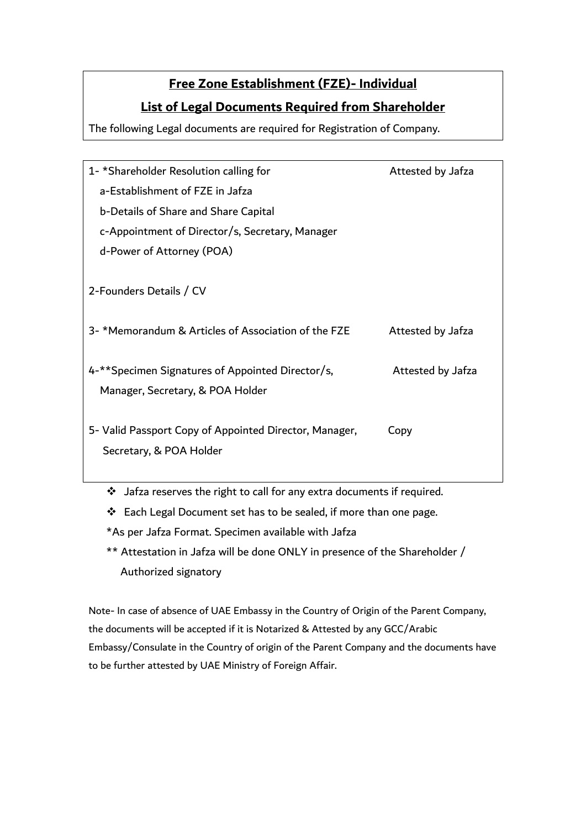### **Free Zone Establishment (FZE)- Individual**

### **List of Legal Documents Required from Shareholder**

The following Legal documents are required for Registration of Company.

| 1-*Shareholder Resolution calling for                  | Attested by Jafza |
|--------------------------------------------------------|-------------------|
| a-Establishment of FZE in Jafza                        |                   |
| b-Details of Share and Share Capital                   |                   |
| c-Appointment of Director/s, Secretary, Manager        |                   |
| d-Power of Attorney (POA)                              |                   |
|                                                        |                   |
| 2-Founders Details / CV                                |                   |
|                                                        |                   |
| 3- *Memorandum & Articles of Association of the FZE    | Attested by Jafza |
|                                                        |                   |
| 4-**Specimen Signatures of Appointed Director/s,       | Attested by Jafza |
| Manager, Secretary, & POA Holder                       |                   |
|                                                        |                   |
| 5- Valid Passport Copy of Appointed Director, Manager, | Copy              |
| Secretary, & POA Holder                                |                   |
|                                                        |                   |

❖ Jafza reserves the right to call for any extra documents if required.

❖ Each Legal Document set has to be sealed, if more than one page.

\*As per Jafza Format. Specimen available with Jafza

\*\* Attestation in Jafza will be done ONLY in presence of the Shareholder / Authorized signatory